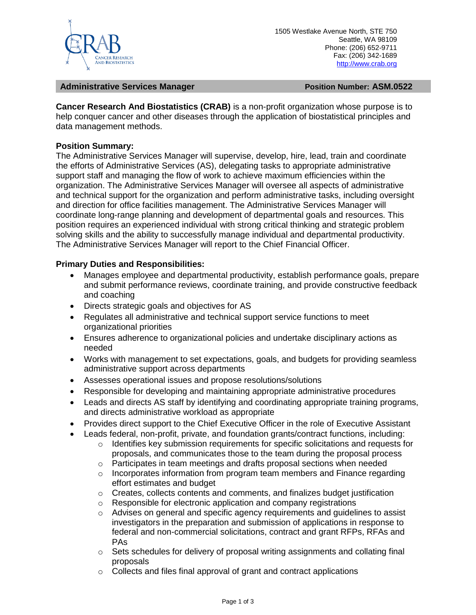

### **Administrative Services Manager Position Number: ASM.0522**

**Cancer Research And Biostatistics (CRAB)** is a non-profit organization whose purpose is to help conquer cancer and other diseases through the application of biostatistical principles and data management methods.

## **Position Summary:**

The Administrative Services Manager will supervise, develop, hire, lead, train and coordinate the efforts of Administrative Services (AS), delegating tasks to appropriate administrative support staff and managing the flow of work to achieve maximum efficiencies within the organization. The Administrative Services Manager will oversee all aspects of administrative and technical support for the organization and perform administrative tasks, including oversight and direction for office facilities management. The Administrative Services Manager will coordinate long-range planning and development of departmental goals and resources. This position requires an experienced individual with strong critical thinking and strategic problem solving skills and the ability to successfully manage individual and departmental productivity. The Administrative Services Manager will report to the Chief Financial Officer.

## **Primary Duties and Responsibilities:**

- Manages employee and departmental productivity, establish performance goals, prepare and submit performance reviews, coordinate training, and provide constructive feedback and coaching
- Directs strategic goals and objectives for AS
- Regulates all administrative and technical support service functions to meet organizational priorities
- Ensures adherence to organizational policies and undertake disciplinary actions as needed
- Works with management to set expectations, goals, and budgets for providing seamless administrative support across departments
- Assesses operational issues and propose resolutions/solutions
- Responsible for developing and maintaining appropriate administrative procedures
- Leads and directs AS staff by identifying and coordinating appropriate training programs, and directs administrative workload as appropriate
- Provides direct support to the Chief Executive Officer in the role of Executive Assistant
- Leads federal, non-profit, private, and foundation grants/contract functions, including:
	- o Identifies key submission requirements for specific solicitations and requests for proposals, and communicates those to the team during the proposal process
	- $\circ$  Participates in team meetings and drafts proposal sections when needed
	- $\circ$  Incorporates information from program team members and Finance regarding effort estimates and budget
	- $\circ$  Creates, collects contents and comments, and finalizes budget justification
	- o Responsible for electronic application and company registrations
	- o Advises on general and specific agency requirements and guidelines to assist investigators in the preparation and submission of applications in response to federal and non-commercial solicitations, contract and grant RFPs, RFAs and PAs
	- $\circ$  Sets schedules for delivery of proposal writing assignments and collating final proposals
	- o Collects and files final approval of grant and contract applications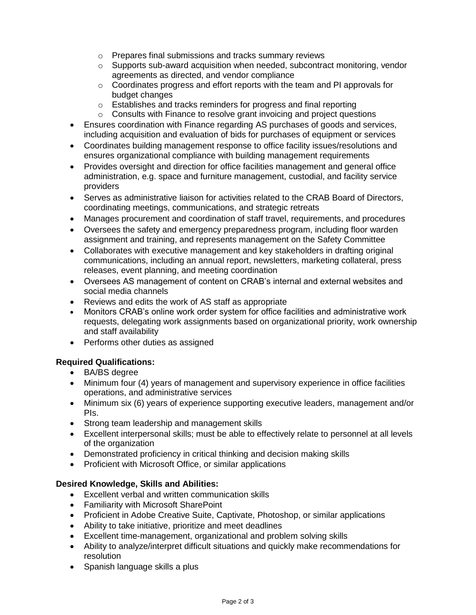- o Prepares final submissions and tracks summary reviews
- $\circ$  Supports sub-award acquisition when needed, subcontract monitoring, vendor agreements as directed, and vendor compliance
- $\circ$  Coordinates progress and effort reports with the team and PI approvals for budget changes
- o Establishes and tracks reminders for progress and final reporting
- o Consults with Finance to resolve grant invoicing and project questions
- Ensures coordination with Finance regarding AS purchases of goods and services, including acquisition and evaluation of bids for purchases of equipment or services
- Coordinates building management response to office facility issues/resolutions and ensures organizational compliance with building management requirements
- Provides oversight and direction for office facilities management and general office administration, e.g. space and furniture management, custodial, and facility service providers
- Serves as administrative liaison for activities related to the CRAB Board of Directors, coordinating meetings, communications, and strategic retreats
- Manages procurement and coordination of staff travel, requirements, and procedures
- Oversees the safety and emergency preparedness program, including floor warden assignment and training, and represents management on the Safety Committee
- Collaborates with executive management and key stakeholders in drafting original communications, including an annual report, newsletters, marketing collateral, press releases, event planning, and meeting coordination
- Oversees AS management of content on CRAB's internal and external websites and social media channels
- Reviews and edits the work of AS staff as appropriate
- Monitors CRAB's online work order system for office facilities and administrative work requests, delegating work assignments based on organizational priority, work ownership and staff availability
- Performs other duties as assigned

# **Required Qualifications:**

- BA/BS degree
- Minimum four (4) years of management and supervisory experience in office facilities operations, and administrative services
- Minimum six (6) years of experience supporting executive leaders, management and/or PIs.
- Strong team leadership and management skills
- Excellent interpersonal skills; must be able to effectively relate to personnel at all levels of the organization
- Demonstrated proficiency in critical thinking and decision making skills
- Proficient with Microsoft Office, or similar applications

## **Desired Knowledge, Skills and Abilities:**

- Excellent verbal and written communication skills
- Familiarity with Microsoft SharePoint
- Proficient in Adobe Creative Suite, Captivate, Photoshop, or similar applications
- Ability to take initiative, prioritize and meet deadlines
- Excellent time-management, organizational and problem solving skills
- Ability to analyze/interpret difficult situations and quickly make recommendations for resolution
- Spanish language skills a plus